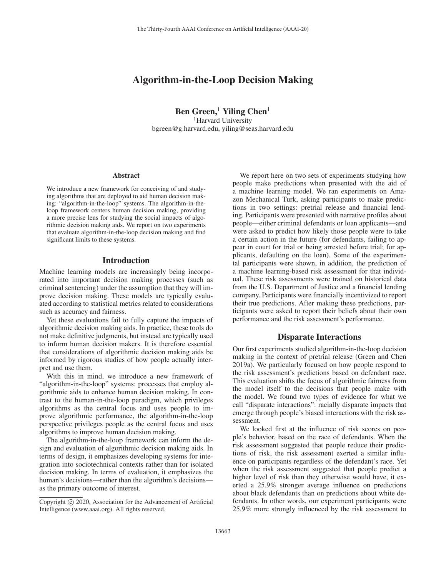# Algorithm-in-the-Loop Decision Making

Ben Green,<sup>1</sup> Yiling Chen<sup>1</sup> <sup>1</sup>Harvard University bgreen@g.harvard.edu, yiling@seas.harvard.edu

#### Abstract

We introduce a new framework for conceiving of and studying algorithms that are deployed to aid human decision making: "algorithm-in-the-loop" systems. The algorithm-in-theloop framework centers human decision making, providing a more precise lens for studying the social impacts of algorithmic decision making aids. We report on two experiments that evaluate algorithm-in-the-loop decision making and find significant limits to these systems.

## Introduction

Machine learning models are increasingly being incorporated into important decision making processes (such as criminal sentencing) under the assumption that they will improve decision making. These models are typically evaluated according to statistical metrics related to considerations such as accuracy and fairness.

Yet these evaluations fail to fully capture the impacts of algorithmic decision making aids. In practice, these tools do not make definitive judgments, but instead are typically used to inform human decision makers. It is therefore essential that considerations of algorithmic decision making aids be informed by rigorous studies of how people actually interpret and use them.

With this in mind, we introduce a new framework of "algorithm-in-the-loop" systems: processes that employ algorithmic aids to enhance human decision making. In contrast to the human-in-the-loop paradigm, which privileges algorithms as the central focus and uses people to improve algorithmic performance, the algorithm-in-the-loop perspective privileges people as the central focus and uses algorithms to improve human decision making.

The algorithm-in-the-loop framework can inform the design and evaluation of algorithmic decision making aids. In terms of design, it emphasizes developing systems for integration into sociotechnical contexts rather than for isolated decision making. In terms of evaluation, it emphasizes the human's decisions—rather than the algorithm's decisions as the primary outcome of interest.

We report here on two sets of experiments studying how people make predictions when presented with the aid of a machine learning model. We ran experiments on Amazon Mechanical Turk, asking participants to make predictions in two settings: pretrial release and financial lending. Participants were presented with narrative profiles about people—either criminal defendants or loan applicants—and were asked to predict how likely those people were to take a certain action in the future (for defendants, failing to appear in court for trial or being arrested before trial; for applicants, defaulting on the loan). Some of the experimental participants were shown, in addition, the prediction of a machine learning-based risk assessment for that individual. These risk assessments were trained on historical data from the U.S. Department of Justice and a financial lending company. Participants were financially incentivized to report their true predictions. After making these predictions, participants were asked to report their beliefs about their own performance and the risk assessment's performance.

## Disparate Interactions

Our first experiments studied algorithm-in-the-loop decision making in the context of pretrial release (Green and Chen 2019a). We particularly focused on how people respond to the risk assessment's predictions based on defendant race. This evaluation shifts the focus of algorithmic fairness from the model itself to the decisions that people make with the model. We found two types of evidence for what we call "disparate interactions": racially disparate impacts that emerge through people's biased interactions with the risk assessment.

We looked first at the influence of risk scores on people's behavior, based on the race of defendants. When the risk assessment suggested that people reduce their predictions of risk, the risk assessment exerted a similar influence on participants regardless of the defendant's race. Yet when the risk assessment suggested that people predict a higher level of risk than they otherwise would have, it exerted a 25.9% stronger average influence on predictions about black defendants than on predictions about white defendants. In other words, our experiment participants were 25.9% more strongly influenced by the risk assessment to

Copyright  $\odot$  2020, Association for the Advancement of Artificial Intelligence (www.aaai.org). All rights reserved.